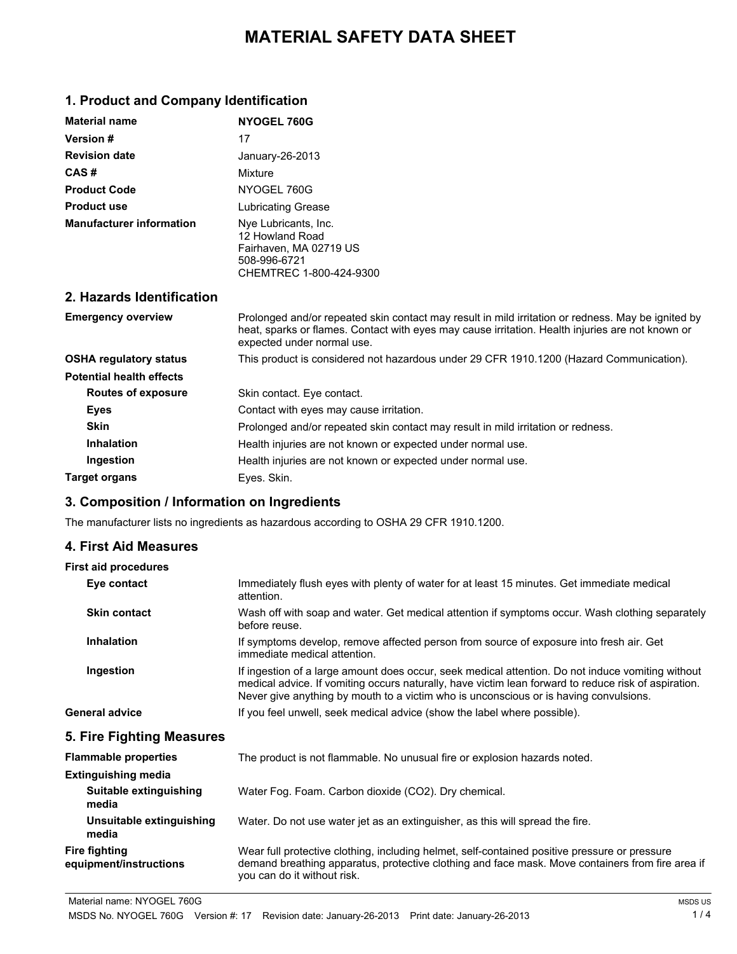# **MATERIAL SAFETY DATA SHEET**

## **1. Product and Company Identification**

| <b>Material name</b>            | NYOGEL 760G                                                                                                  |
|---------------------------------|--------------------------------------------------------------------------------------------------------------|
| <b>Version #</b>                | 17                                                                                                           |
| <b>Revision date</b>            | January-26-2013                                                                                              |
| CAS#                            | Mixture                                                                                                      |
| <b>Product Code</b>             | NYOGEL 760G                                                                                                  |
| <b>Product use</b>              | Lubricating Grease                                                                                           |
| <b>Manufacturer information</b> | Nye Lubricants, Inc.<br>12 Howland Road<br>Fairhaven, MA 02719 US<br>508-996-6721<br>CHEMTREC 1-800-424-9300 |

## **2. Hazards Identification**

| <b>Emergency overview</b>       | Prolonged and/or repeated skin contact may result in mild irritation or redness. May be ignited by<br>heat, sparks or flames. Contact with eyes may cause irritation. Health injuries are not known or<br>expected under normal use. |
|---------------------------------|--------------------------------------------------------------------------------------------------------------------------------------------------------------------------------------------------------------------------------------|
| <b>OSHA regulatory status</b>   | This product is considered not hazardous under 29 CFR 1910.1200 (Hazard Communication).                                                                                                                                              |
| <b>Potential health effects</b> |                                                                                                                                                                                                                                      |
| Routes of exposure              | Skin contact. Eye contact.                                                                                                                                                                                                           |
| Eyes                            | Contact with eyes may cause irritation.                                                                                                                                                                                              |
| <b>Skin</b>                     | Prolonged and/or repeated skin contact may result in mild irritation or redness.                                                                                                                                                     |
| <b>Inhalation</b>               | Health injuries are not known or expected under normal use.                                                                                                                                                                          |
| Ingestion                       | Health injuries are not known or expected under normal use.                                                                                                                                                                          |
| Target organs                   | Eves. Skin.                                                                                                                                                                                                                          |

## **3. Composition / Information on Ingredients**

The manufacturer lists no ingredients as hazardous according to OSHA 29 CFR 1910.1200.

### **4. First Aid Measures**

#### **First aid procedures**

| Eye contact         | Immediately flush eyes with plenty of water for at least 15 minutes. Get immediate medical<br>attention.                                                                                                                                                                                           |
|---------------------|----------------------------------------------------------------------------------------------------------------------------------------------------------------------------------------------------------------------------------------------------------------------------------------------------|
| <b>Skin contact</b> | Wash off with soap and water. Get medical attention if symptoms occur. Wash clothing separately<br>before reuse.                                                                                                                                                                                   |
| <b>Inhalation</b>   | If symptoms develop, remove affected person from source of exposure into fresh air. Get<br>immediate medical attention.                                                                                                                                                                            |
| Ingestion           | If ingestion of a large amount does occur, seek medical attention. Do not induce vomiting without<br>medical advice. If vomiting occurs naturally, have victim lean forward to reduce risk of aspiration.<br>Never give anything by mouth to a victim who is unconscious or is having convulsions. |
| General advice      | If you feel unwell, seek medical advice (show the label where possible).                                                                                                                                                                                                                           |
|                     |                                                                                                                                                                                                                                                                                                    |

### **5. Fire Fighting Measures**

| <b>Flammable properties</b>                    | The product is not flammable. No unusual fire or explosion hazards noted.                                                                                                                                                        |  |
|------------------------------------------------|----------------------------------------------------------------------------------------------------------------------------------------------------------------------------------------------------------------------------------|--|
| <b>Extinguishing media</b>                     |                                                                                                                                                                                                                                  |  |
| Suitable extinguishing<br>media                | Water Fog. Foam. Carbon dioxide (CO2). Dry chemical.                                                                                                                                                                             |  |
| Unsuitable extinguishing<br>media              | Water. Do not use water jet as an extinguisher, as this will spread the fire.                                                                                                                                                    |  |
| <b>Fire fighting</b><br>equipment/instructions | Wear full protective clothing, including helmet, self-contained positive pressure or pressure<br>demand breathing apparatus, protective clothing and face mask. Move containers from fire area if<br>you can do it without risk. |  |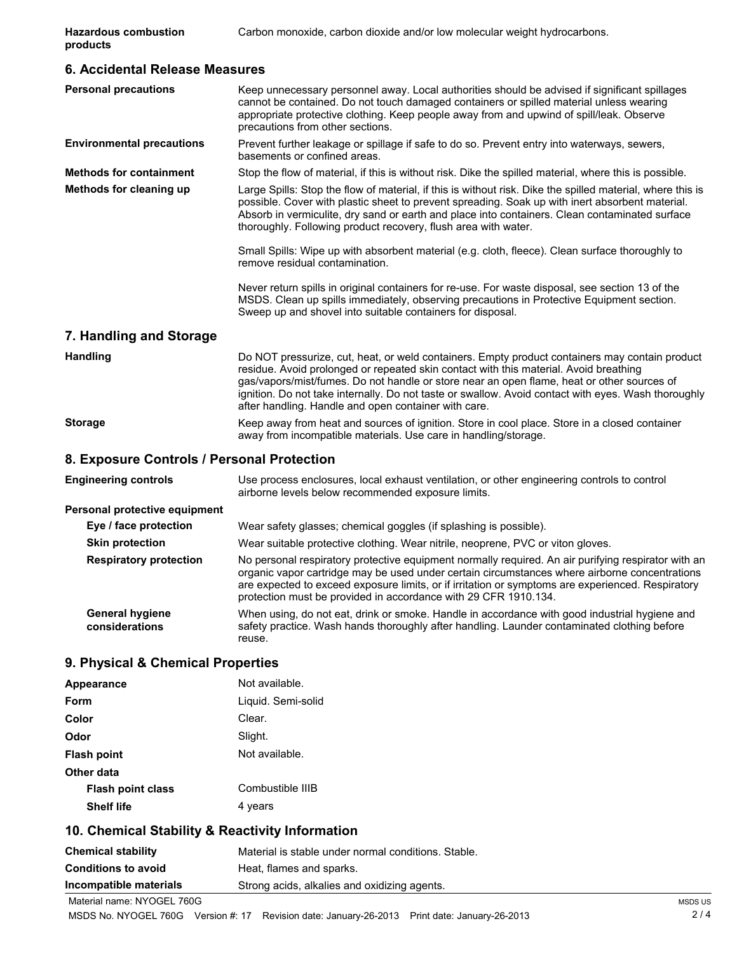| 6. Accidental Release Measures             |                                                                                                                                                                                                                                                                                                                                                                                                                                                      |  |  |
|--------------------------------------------|------------------------------------------------------------------------------------------------------------------------------------------------------------------------------------------------------------------------------------------------------------------------------------------------------------------------------------------------------------------------------------------------------------------------------------------------------|--|--|
| <b>Personal precautions</b>                | Keep unnecessary personnel away. Local authorities should be advised if significant spillages<br>cannot be contained. Do not touch damaged containers or spilled material unless wearing<br>appropriate protective clothing. Keep people away from and upwind of spill/leak. Observe<br>precautions from other sections.                                                                                                                             |  |  |
| <b>Environmental precautions</b>           | Prevent further leakage or spillage if safe to do so. Prevent entry into waterways, sewers,<br>basements or confined areas.                                                                                                                                                                                                                                                                                                                          |  |  |
| <b>Methods for containment</b>             | Stop the flow of material, if this is without risk. Dike the spilled material, where this is possible.                                                                                                                                                                                                                                                                                                                                               |  |  |
| Methods for cleaning up                    | Large Spills: Stop the flow of material, if this is without risk. Dike the spilled material, where this is<br>possible. Cover with plastic sheet to prevent spreading. Soak up with inert absorbent material.<br>Absorb in vermiculite, dry sand or earth and place into containers. Clean contaminated surface<br>thoroughly. Following product recovery, flush area with water.                                                                    |  |  |
|                                            | Small Spills: Wipe up with absorbent material (e.g. cloth, fleece). Clean surface thoroughly to<br>remove residual contamination.                                                                                                                                                                                                                                                                                                                    |  |  |
|                                            | Never return spills in original containers for re-use. For waste disposal, see section 13 of the<br>MSDS. Clean up spills immediately, observing precautions in Protective Equipment section.<br>Sweep up and shovel into suitable containers for disposal.                                                                                                                                                                                          |  |  |
| 7. Handling and Storage                    |                                                                                                                                                                                                                                                                                                                                                                                                                                                      |  |  |
| <b>Handling</b>                            | Do NOT pressurize, cut, heat, or weld containers. Empty product containers may contain product<br>residue. Avoid prolonged or repeated skin contact with this material. Avoid breathing<br>gas/vapors/mist/fumes. Do not handle or store near an open flame, heat or other sources of<br>ignition. Do not take internally. Do not taste or swallow. Avoid contact with eyes. Wash thoroughly<br>after handling. Handle and open container with care. |  |  |
| <b>Storage</b>                             | Keep away from heat and sources of ignition. Store in cool place. Store in a closed container<br>away from incompatible materials. Use care in handling/storage.                                                                                                                                                                                                                                                                                     |  |  |
| 8. Exposure Controls / Personal Protection |                                                                                                                                                                                                                                                                                                                                                                                                                                                      |  |  |
| <b>Engineering controls</b>                | Use process enclosures, local exhaust ventilation, or other engineering controls to control                                                                                                                                                                                                                                                                                                                                                          |  |  |

airborne levels below recommended exposure limits.

## **Personal protective equipment**

| Eye / face protection                    | Wear safety glasses; chemical goggles (if splashing is possible).                                                                                                                                                                                                                                                                                                            |
|------------------------------------------|------------------------------------------------------------------------------------------------------------------------------------------------------------------------------------------------------------------------------------------------------------------------------------------------------------------------------------------------------------------------------|
| <b>Skin protection</b>                   | Wear suitable protective clothing. Wear nitrile, neoprene, PVC or viton gloves.                                                                                                                                                                                                                                                                                              |
| <b>Respiratory protection</b>            | No personal respiratory protective equipment normally required. An air purifying respirator with an<br>organic vapor cartridge may be used under certain circumstances where airborne concentrations<br>are expected to exceed exposure limits, or if irritation or symptoms are experienced. Respiratory<br>protection must be provided in accordance with 29 CFR 1910.134. |
| <b>General hygiene</b><br>considerations | When using, do not eat, drink or smoke. Handle in accordance with good industrial hygiene and<br>safety practice. Wash hands thoroughly after handling. Launder contaminated clothing before<br>reuse.                                                                                                                                                                       |

## **9. Physical & Chemical Properties**

| Appearance               | Not available.     |
|--------------------------|--------------------|
| Form                     | Liquid. Semi-solid |
| Color                    | Clear.             |
| Odor                     | Slight.            |
| <b>Flash point</b>       | Not available.     |
| Other data               |                    |
| <b>Flash point class</b> | Combustible IIIB   |
| <b>Shelf life</b>        | 4 years            |
|                          |                    |

## **10. Chemical Stability & Reactivity Information**

| <b>Chemical stability</b>  | Material is stable under normal conditions. Stable. |
|----------------------------|-----------------------------------------------------|
| <b>Conditions to avoid</b> | Heat, flames and sparks.                            |
| Incompatible materials     | Strong acids, alkalies and oxidizing agents.        |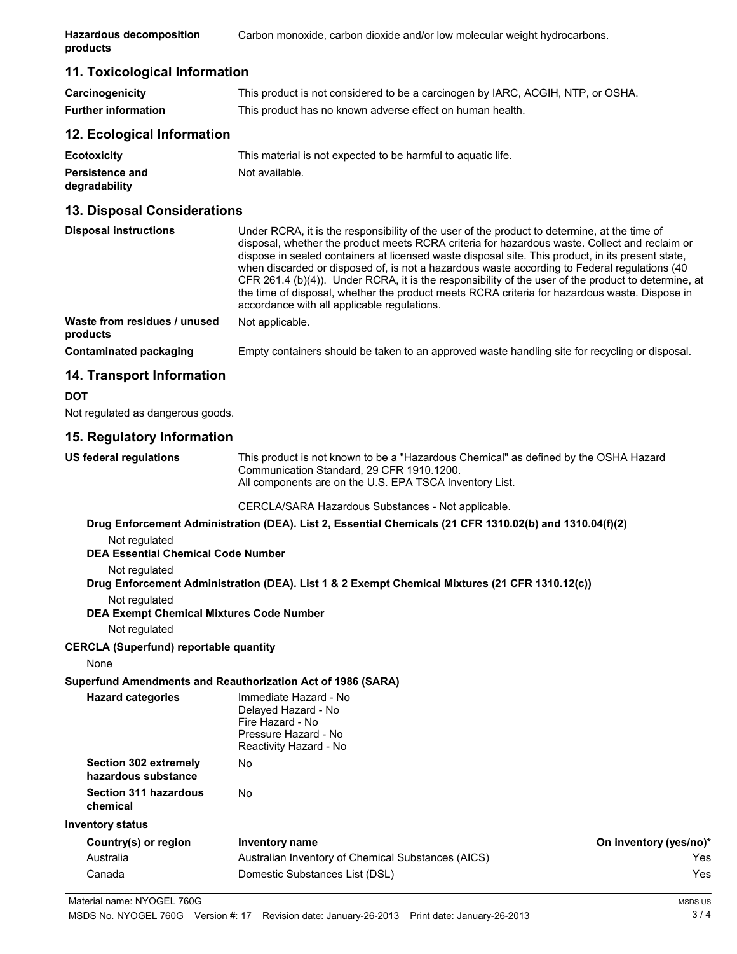#### **11. Toxicological Information**

| Carcinogenicity            | This product is not considered to be a carcinogen by IARC, ACGIH, NTP, or OSHA. |
|----------------------------|---------------------------------------------------------------------------------|
| <b>Further information</b> | This product has no known adverse effect on human health.                       |

#### **12. Ecological Information**

| <b>Ecotoxicity</b>     | This material is not expected to be harmful to aquatic life. |
|------------------------|--------------------------------------------------------------|
| <b>Persistence and</b> | Not available.                                               |
| degradability          |                                                              |

## **13. Disposal Considerations**

| <b>Disposal instructions</b>             | Under RCRA, it is the responsibility of the user of the product to determine, at the time of<br>disposal, whether the product meets RCRA criteria for hazardous waste. Collect and reclaim or<br>dispose in sealed containers at licensed waste disposal site. This product, in its present state,<br>when discarded or disposed of, is not a hazardous waste according to Federal regulations (40<br>CFR 261.4 (b)(4)). Under RCRA, it is the responsibility of the user of the product to determine, at<br>the time of disposal, whether the product meets RCRA criteria for hazardous waste. Dispose in<br>accordance with all applicable regulations. |  |
|------------------------------------------|-----------------------------------------------------------------------------------------------------------------------------------------------------------------------------------------------------------------------------------------------------------------------------------------------------------------------------------------------------------------------------------------------------------------------------------------------------------------------------------------------------------------------------------------------------------------------------------------------------------------------------------------------------------|--|
| Waste from residues / unused<br>products | Not applicable.                                                                                                                                                                                                                                                                                                                                                                                                                                                                                                                                                                                                                                           |  |
| Contaminated packaging                   | Empty containers should be taken to an approved waste handling site for recycling or disposal.                                                                                                                                                                                                                                                                                                                                                                                                                                                                                                                                                            |  |

### **14. Transport Information**

**DOT** Not regulated as dangerous goods.

### **15. Regulatory Information**

**US federal regulations** This product is not known to be a "Hazardous Chemical" as defined by the OSHA Hazard Communication Standard, 29 CFR 1910.1200. All components are on the U.S. EPA TSCA Inventory List.

CERCLA/SARA Hazardous Substances - Not applicable.

|                                                                                                | Not regulated                                   | Drug Enforcement Administration (DEA). List 2, Essential Chemicals (21 CFR 1310.02(b) and 1310.04(f)(2)            |                        |
|------------------------------------------------------------------------------------------------|-------------------------------------------------|--------------------------------------------------------------------------------------------------------------------|------------------------|
|                                                                                                | <b>DEA Essential Chemical Code Number</b>       |                                                                                                                    |                        |
|                                                                                                | Not regulated                                   |                                                                                                                    |                        |
| Drug Enforcement Administration (DEA). List 1 & 2 Exempt Chemical Mixtures (21 CFR 1310.12(c)) |                                                 |                                                                                                                    |                        |
| Not regulated                                                                                  |                                                 |                                                                                                                    |                        |
|                                                                                                | <b>DEA Exempt Chemical Mixtures Code Number</b> |                                                                                                                    |                        |
|                                                                                                | Not regulated                                   |                                                                                                                    |                        |
|                                                                                                | <b>CERCLA (Superfund) reportable quantity</b>   |                                                                                                                    |                        |
|                                                                                                | None                                            |                                                                                                                    |                        |
|                                                                                                |                                                 | Superfund Amendments and Reauthorization Act of 1986 (SARA)                                                        |                        |
|                                                                                                | <b>Hazard categories</b>                        | Immediate Hazard - No<br>Delaved Hazard - No<br>Fire Hazard - No<br>Pressure Hazard - No<br>Reactivity Hazard - No |                        |
|                                                                                                | Section 302 extremely<br>hazardous substance    | <b>No</b>                                                                                                          |                        |
|                                                                                                | <b>Section 311 hazardous</b><br>chemical        | <b>No</b>                                                                                                          |                        |
|                                                                                                | Inventory status                                |                                                                                                                    |                        |
|                                                                                                | Country(s) or region                            | Inventory name                                                                                                     | On inventory (yes/no)* |
|                                                                                                | Australia                                       | Australian Inventory of Chemical Substances (AICS)                                                                 | Yes                    |
|                                                                                                | Canada                                          | Domestic Substances List (DSL)                                                                                     | Yes                    |
|                                                                                                |                                                 |                                                                                                                    |                        |